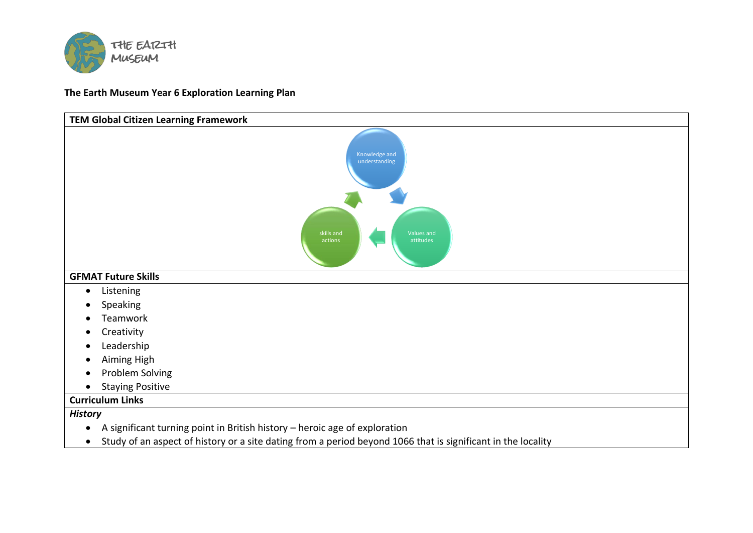

## **The Earth Museum Year 6 Exploration Learning Plan**

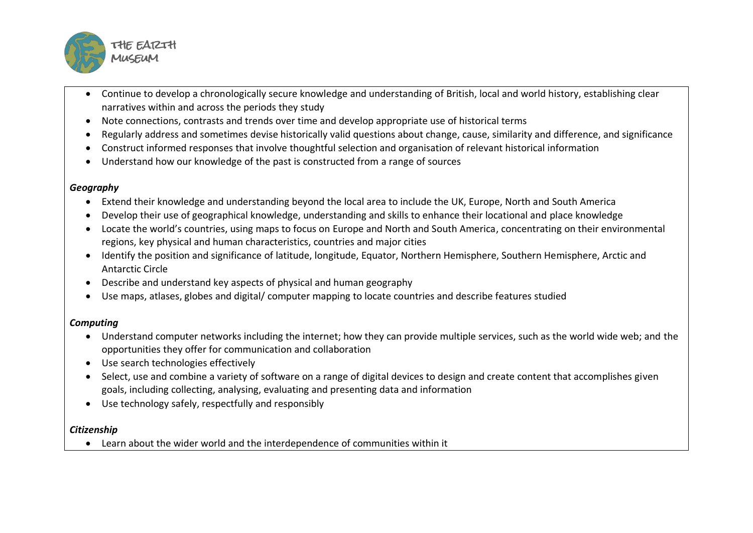

- Continue to develop a chronologically secure knowledge and understanding of British, local and world history, establishing clear narratives within and across the periods they study
- Note connections, contrasts and trends over time and develop appropriate use of historical terms
- Regularly address and sometimes devise historically valid questions about change, cause, similarity and difference, and significance
- Construct informed responses that involve thoughtful selection and organisation of relevant historical information
- Understand how our knowledge of the past is constructed from a range of sources

## *Geography*

- Extend their knowledge and understanding beyond the local area to include the UK, Europe, North and South America
- Develop their use of geographical knowledge, understanding and skills to enhance their locational and place knowledge
- Locate the world's countries, using maps to focus on Europe and North and South America, concentrating on their environmental regions, key physical and human characteristics, countries and major cities
- Identify the position and significance of latitude, longitude, Equator, Northern Hemisphere, Southern Hemisphere, Arctic and Antarctic Circle
- Describe and understand key aspects of physical and human geography
- Use maps, atlases, globes and digital/ computer mapping to locate countries and describe features studied

## *Computing*

- Understand computer networks including the internet; how they can provide multiple services, such as the world wide web; and the opportunities they offer for communication and collaboration
- Use search technologies effectively
- Select, use and combine a variety of software on a range of digital devices to design and create content that accomplishes given goals, including collecting, analysing, evaluating and presenting data and information
- Use technology safely, respectfully and responsibly

## *Citizenship*

• Learn about the wider world and the interdependence of communities within it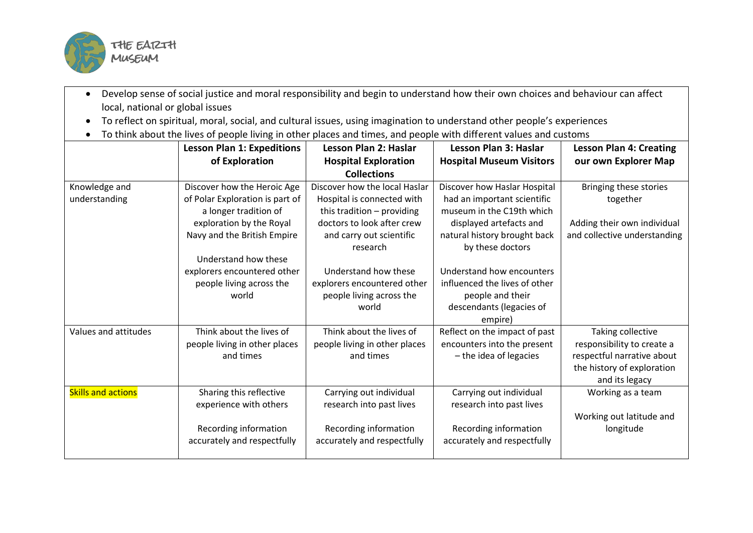

- Develop sense of social justice and moral responsibility and begin to understand how their own choices and behaviour can affect local, national or global issues
- To reflect on spiritual, moral, social, and cultural issues, using imagination to understand other people's experiences
- To think about the lives of people living in other places and times, and people with different values and customs

|                           | <b>Lesson Plan 1: Expeditions</b> | <b>Lesson Plan 2: Haslar</b>  | <b>Lesson Plan 3: Haslar</b>    | <b>Lesson Plan 4: Creating</b> |
|---------------------------|-----------------------------------|-------------------------------|---------------------------------|--------------------------------|
|                           | of Exploration                    | <b>Hospital Exploration</b>   | <b>Hospital Museum Visitors</b> | our own Explorer Map           |
|                           |                                   | <b>Collections</b>            |                                 |                                |
| Knowledge and             | Discover how the Heroic Age       | Discover how the local Haslar | Discover how Haslar Hospital    | Bringing these stories         |
| understanding             | of Polar Exploration is part of   | Hospital is connected with    | had an important scientific     | together                       |
|                           | a longer tradition of             | this tradition $-$ providing  | museum in the C19th which       |                                |
|                           | exploration by the Royal          | doctors to look after crew    | displayed artefacts and         | Adding their own individual    |
|                           | Navy and the British Empire       | and carry out scientific      | natural history brought back    | and collective understanding   |
|                           |                                   | research                      | by these doctors                |                                |
|                           | Understand how these              |                               |                                 |                                |
|                           | explorers encountered other       | Understand how these          | Understand how encounters       |                                |
|                           | people living across the          | explorers encountered other   | influenced the lives of other   |                                |
|                           | world                             | people living across the      | people and their                |                                |
|                           |                                   | world                         | descendants (legacies of        |                                |
|                           |                                   |                               | empire)                         |                                |
| Values and attitudes      | Think about the lives of          | Think about the lives of      | Reflect on the impact of past   | Taking collective              |
|                           | people living in other places     | people living in other places | encounters into the present     | responsibility to create a     |
|                           | and times                         | and times                     | - the idea of legacies          | respectful narrative about     |
|                           |                                   |                               |                                 | the history of exploration     |
|                           |                                   |                               |                                 | and its legacy                 |
| <b>Skills and actions</b> | Sharing this reflective           | Carrying out individual       | Carrying out individual         | Working as a team              |
|                           | experience with others            | research into past lives      | research into past lives        |                                |
|                           |                                   |                               |                                 | Working out latitude and       |
|                           | Recording information             | Recording information         | Recording information           | longitude                      |
|                           | accurately and respectfully       | accurately and respectfully   | accurately and respectfully     |                                |
|                           |                                   |                               |                                 |                                |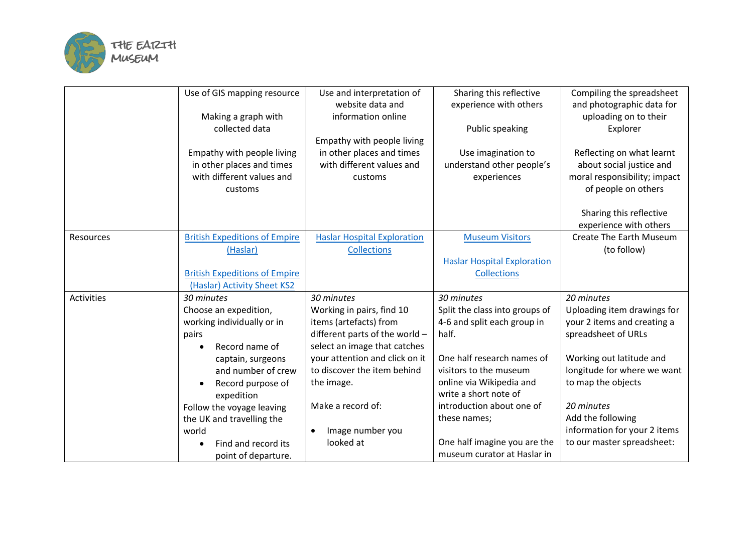

|                   | Use of GIS mapping resource<br>Making a graph with<br>collected data<br>Empathy with people living<br>in other places and times<br>with different values and<br>customs | Use and interpretation of<br>website data and<br>information online<br>Empathy with people living<br>in other places and times<br>with different values and<br>customs | Sharing this reflective<br>experience with others<br>Public speaking<br>Use imagination to<br>understand other people's<br>experiences | Compiling the spreadsheet<br>and photographic data for<br>uploading on to their<br>Explorer<br>Reflecting on what learnt<br>about social justice and<br>moral responsibility; impact<br>of people on others |
|-------------------|-------------------------------------------------------------------------------------------------------------------------------------------------------------------------|------------------------------------------------------------------------------------------------------------------------------------------------------------------------|----------------------------------------------------------------------------------------------------------------------------------------|-------------------------------------------------------------------------------------------------------------------------------------------------------------------------------------------------------------|
|                   |                                                                                                                                                                         |                                                                                                                                                                        |                                                                                                                                        | Sharing this reflective<br>experience with others                                                                                                                                                           |
| Resources         | <b>British Expeditions of Empire</b>                                                                                                                                    | <b>Haslar Hospital Exploration</b>                                                                                                                                     | <b>Museum Visitors</b>                                                                                                                 | <b>Create The Earth Museum</b>                                                                                                                                                                              |
|                   | (Haslar)                                                                                                                                                                | <b>Collections</b>                                                                                                                                                     | <b>Haslar Hospital Exploration</b>                                                                                                     | (to follow)                                                                                                                                                                                                 |
|                   | <b>British Expeditions of Empire</b>                                                                                                                                    |                                                                                                                                                                        | <b>Collections</b>                                                                                                                     |                                                                                                                                                                                                             |
|                   | (Haslar) Activity Sheet KS2                                                                                                                                             |                                                                                                                                                                        |                                                                                                                                        |                                                                                                                                                                                                             |
| <b>Activities</b> | 30 minutes                                                                                                                                                              | 30 minutes                                                                                                                                                             | 30 minutes                                                                                                                             | 20 minutes                                                                                                                                                                                                  |
|                   | Choose an expedition,                                                                                                                                                   | Working in pairs, find 10                                                                                                                                              | Split the class into groups of                                                                                                         | Uploading item drawings for                                                                                                                                                                                 |
|                   | working individually or in                                                                                                                                              | items (artefacts) from                                                                                                                                                 | 4-6 and split each group in                                                                                                            | your 2 items and creating a                                                                                                                                                                                 |
|                   | pairs                                                                                                                                                                   | different parts of the world -                                                                                                                                         | half.                                                                                                                                  | spreadsheet of URLs                                                                                                                                                                                         |
|                   | Record name of<br>$\bullet$                                                                                                                                             | select an image that catches<br>your attention and click on it                                                                                                         | One half research names of                                                                                                             | Working out latitude and                                                                                                                                                                                    |
|                   | captain, surgeons<br>and number of crew                                                                                                                                 | to discover the item behind                                                                                                                                            | visitors to the museum                                                                                                                 | longitude for where we want                                                                                                                                                                                 |
|                   | Record purpose of                                                                                                                                                       | the image.                                                                                                                                                             | online via Wikipedia and                                                                                                               | to map the objects                                                                                                                                                                                          |
|                   | expedition                                                                                                                                                              |                                                                                                                                                                        | write a short note of                                                                                                                  |                                                                                                                                                                                                             |
|                   | Follow the voyage leaving                                                                                                                                               | Make a record of:                                                                                                                                                      | introduction about one of                                                                                                              | 20 minutes                                                                                                                                                                                                  |
|                   | the UK and travelling the                                                                                                                                               |                                                                                                                                                                        | these names;                                                                                                                           | Add the following                                                                                                                                                                                           |
|                   | world                                                                                                                                                                   | Image number you<br>$\bullet$                                                                                                                                          |                                                                                                                                        | information for your 2 items                                                                                                                                                                                |
|                   | Find and record its<br>$\bullet$                                                                                                                                        | looked at                                                                                                                                                              | One half imagine you are the                                                                                                           | to our master spreadsheet:                                                                                                                                                                                  |
|                   | point of departure.                                                                                                                                                     |                                                                                                                                                                        | museum curator at Haslar in                                                                                                            |                                                                                                                                                                                                             |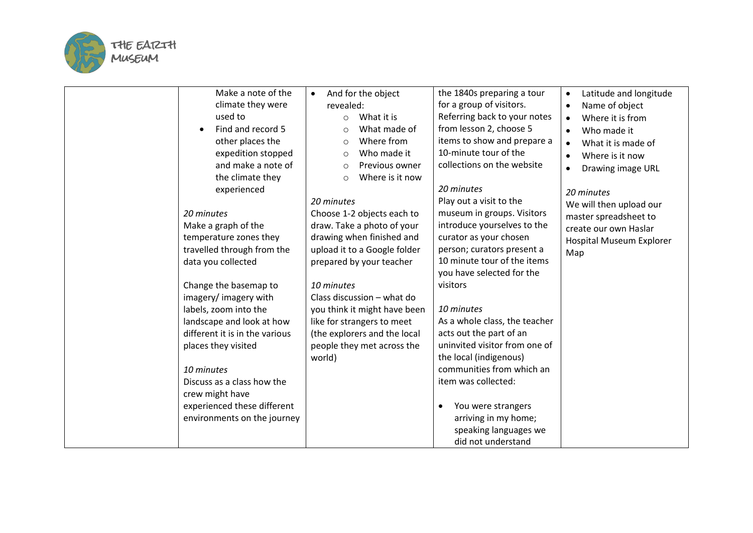

| Make a note of the<br>climate they were<br>used to<br>Find and record 5<br>other places the<br>expedition stopped<br>and make a note of<br>the climate they<br>experienced<br>20 minutes<br>Make a graph of the<br>temperature zones they<br>travelled through from the<br>data you collected<br>Change the basemap to<br>imagery/ imagery with<br>labels, zoom into the<br>landscape and look at how<br>different it is in the various<br>places they visited<br>10 minutes<br>Discuss as a class how the | And for the object<br>$\bullet$<br>revealed:<br>What it is<br>$\circ$<br>What made of<br>$\circ$<br>Where from<br>$\Omega$<br>Who made it<br>$\circ$<br>Previous owner<br>$\circ$<br>Where is it now<br>$\circ$<br>20 minutes<br>Choose 1-2 objects each to<br>draw. Take a photo of your<br>drawing when finished and<br>upload it to a Google folder<br>prepared by your teacher<br>10 minutes<br>Class discussion - what do<br>you think it might have been<br>like for strangers to meet<br>(the explorers and the local<br>people they met across the<br>world) | the 1840s preparing a tour<br>for a group of visitors.<br>Referring back to your notes<br>from lesson 2, choose 5<br>items to show and prepare a<br>10-minute tour of the<br>collections on the website<br>20 minutes<br>Play out a visit to the<br>museum in groups. Visitors<br>introduce yourselves to the<br>curator as your chosen<br>person; curators present a<br>10 minute tour of the items<br>you have selected for the<br>visitors<br>10 minutes<br>As a whole class, the teacher<br>acts out the part of an<br>uninvited visitor from one of<br>the local (indigenous)<br>communities from which an<br>item was collected: | Latitude and longitude<br>$\bullet$<br>Name of object<br>$\bullet$<br>Where it is from<br>$\bullet$<br>Who made it<br>$\bullet$<br>What it is made of<br>$\bullet$<br>Where is it now<br>$\bullet$<br>Drawing image URL<br>$\bullet$<br>20 minutes<br>We will then upload our<br>master spreadsheet to<br>create our own Haslar<br>Hospital Museum Explorer<br>Map |
|------------------------------------------------------------------------------------------------------------------------------------------------------------------------------------------------------------------------------------------------------------------------------------------------------------------------------------------------------------------------------------------------------------------------------------------------------------------------------------------------------------|----------------------------------------------------------------------------------------------------------------------------------------------------------------------------------------------------------------------------------------------------------------------------------------------------------------------------------------------------------------------------------------------------------------------------------------------------------------------------------------------------------------------------------------------------------------------|----------------------------------------------------------------------------------------------------------------------------------------------------------------------------------------------------------------------------------------------------------------------------------------------------------------------------------------------------------------------------------------------------------------------------------------------------------------------------------------------------------------------------------------------------------------------------------------------------------------------------------------|--------------------------------------------------------------------------------------------------------------------------------------------------------------------------------------------------------------------------------------------------------------------------------------------------------------------------------------------------------------------|
| crew might have<br>experienced these different<br>environments on the journey                                                                                                                                                                                                                                                                                                                                                                                                                              |                                                                                                                                                                                                                                                                                                                                                                                                                                                                                                                                                                      | You were strangers<br>arriving in my home;<br>speaking languages we<br>did not understand                                                                                                                                                                                                                                                                                                                                                                                                                                                                                                                                              |                                                                                                                                                                                                                                                                                                                                                                    |